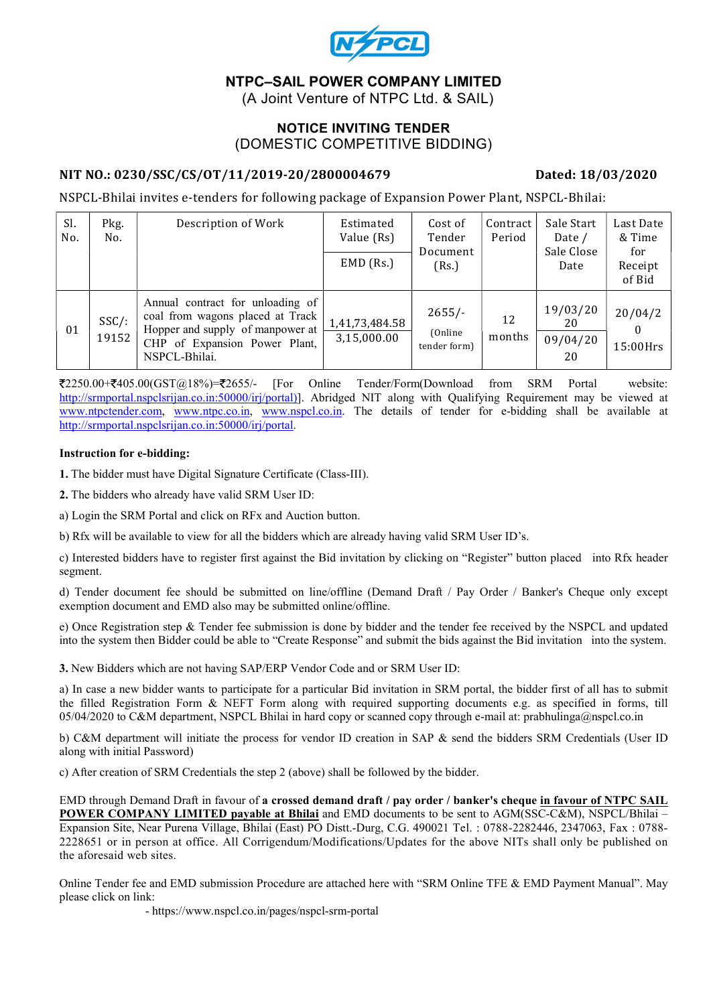

## NTPC–SAIL POWER COMPANY LIMITED

(A Joint Venture of NTPC Ltd. & SAIL)

### NOTICE INVITING TENDER (DOMESTIC COMPETITIVE BIDDING)

### NIT NO.: 0230/SSC/CS/OT/11/2019-20/2800004679 Dated: 18/03/2020

NSPCL-Bhilai invites e-tenders for following package of Expansion Power Plant, NSPCL-Bhilai:

| Sl.<br>No. | Pkg.<br>No.       | Description of Work                                                                                                                                        | Estimated<br>Value (Rs)<br>$EMD$ (Rs.) | Cost of<br>Tender<br>Document<br>(Rs.) | Contract<br>Period | Sale Start<br>Date /<br>Sale Close<br>Date | Last Date<br>& Time<br>for<br>Receipt<br>of Bid |
|------------|-------------------|------------------------------------------------------------------------------------------------------------------------------------------------------------|----------------------------------------|----------------------------------------|--------------------|--------------------------------------------|-------------------------------------------------|
| 01         | $SSC/$ :<br>19152 | Annual contract for unloading of<br>coal from wagons placed at Track<br>Hopper and supply of manpower at<br>CHP of Expansion Power Plant,<br>NSPCL-Bhilai. | 1,41,73,484.58<br>3,15,000.00          | $2655/-$<br>(Online)<br>tender form)   | 12<br>months       | 19/03/20<br>20<br>09/04/20<br>20           | 20/04/2<br>15:00Hrs                             |

 $\text{\textsterling}2250.00+\text{\textsterling}405.00(GST@18%)$  =  $\text{\textsterling}2655/-$  [For Online Tender/Form(Download from SRM Portal website: http://srmportal.nspclsrijan.co.in:50000/irj/portal)]. Abridged NIT along with Qualifying Requirement may be viewed at www.ntpctender.com, www.ntpc.co.in, www.nspcl.co.in. The details of tender for e-bidding shall be available at http://srmportal.nspclsrijan.co.in:50000/irj/portal.

#### Instruction for e-bidding:

1. The bidder must have Digital Signature Certificate (Class-III).

2. The bidders who already have valid SRM User ID:

a) Login the SRM Portal and click on RFx and Auction button.

b) Rfx will be available to view for all the bidders which are already having valid SRM User ID's.

c) Interested bidders have to register first against the Bid invitation by clicking on "Register" button placed into Rfx header segment.

d) Tender document fee should be submitted on line/offline (Demand Draft / Pay Order / Banker's Cheque only except exemption document and EMD also may be submitted online/offline.

e) Once Registration step & Tender fee submission is done by bidder and the tender fee received by the NSPCL and updated into the system then Bidder could be able to "Create Response" and submit the bids against the Bid invitation into the system.

3. New Bidders which are not having SAP/ERP Vendor Code and or SRM User ID:

a) In case a new bidder wants to participate for a particular Bid invitation in SRM portal, the bidder first of all has to submit the filled Registration Form & NEFT Form along with required supporting documents e.g. as specified in forms, till 05/04/2020 to C&M department, NSPCL Bhilai in hard copy or scanned copy through e-mail at: prabhulinga@nspcl.co.in

b) C&M department will initiate the process for vendor ID creation in SAP & send the bidders SRM Credentials (User ID along with initial Password)

c) After creation of SRM Credentials the step 2 (above) shall be followed by the bidder.

EMD through Demand Draft in favour of a crossed demand draft / pay order / banker's cheque in favour of NTPC SAIL POWER COMPANY LIMITED payable at Bhilai and EMD documents to be sent to AGM(SSC-C&M), NSPCL/Bhilai – Expansion Site, Near Purena Village, Bhilai (East) PO Distt.-Durg, C.G. 490021 Tel. : 0788-2282446, 2347063, Fax : 0788- 2228651 or in person at office. All Corrigendum/Modifications/Updates for the above NITs shall only be published on the aforesaid web sites.

Online Tender fee and EMD submission Procedure are attached here with "SRM Online TFE & EMD Payment Manual". May please click on link:

- https://www.nspcl.co.in/pages/nspcl-srm-portal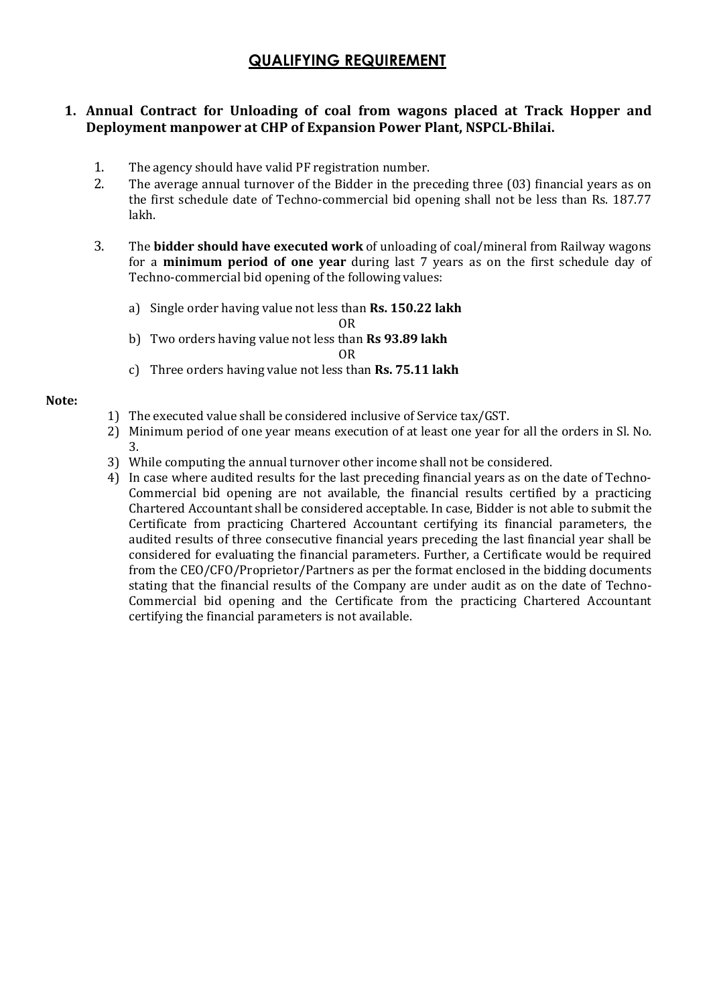# QUALIFYING REQUIREMENT

### 1. Annual Contract for Unloading of coal from wagons placed at Track Hopper and Deployment manpower at CHP of Expansion Power Plant, NSPCL-Bhilai.

- 1. The agency should have valid PF registration number.
- 2. The average annual turnover of the Bidder in the preceding three (03) financial years as on the first schedule date of Techno-commercial bid opening shall not be less than Rs. 187.77 lakh.
- 3. The bidder should have executed work of unloading of coal/mineral from Railway wagons for a minimum period of one year during last 7 years as on the first schedule day of Techno-commercial bid opening of the following values:
	- a) Single order having value not less than Rs. 150.22 lakh

OR

- b) Two orders having value not less than Rs 93.89 lakh
	- OR
- c) Three orders having value not less than Rs. 75.11 lakh

#### Note:

- 1) The executed value shall be considered inclusive of Service tax/GST.
- 2) Minimum period of one year means execution of at least one year for all the orders in Sl. No. 3.
- 3) While computing the annual turnover other income shall not be considered.
- 4) In case where audited results for the last preceding financial years as on the date of Techno-Commercial bid opening are not available, the financial results certified by a practicing Chartered Accountant shall be considered acceptable. In case, Bidder is not able to submit the Certificate from practicing Chartered Accountant certifying its financial parameters, the audited results of three consecutive financial years preceding the last financial year shall be considered for evaluating the financial parameters. Further, a Certificate would be required from the CEO/CFO/Proprietor/Partners as per the format enclosed in the bidding documents stating that the financial results of the Company are under audit as on the date of Techno-Commercial bid opening and the Certificate from the practicing Chartered Accountant certifying the financial parameters is not available.